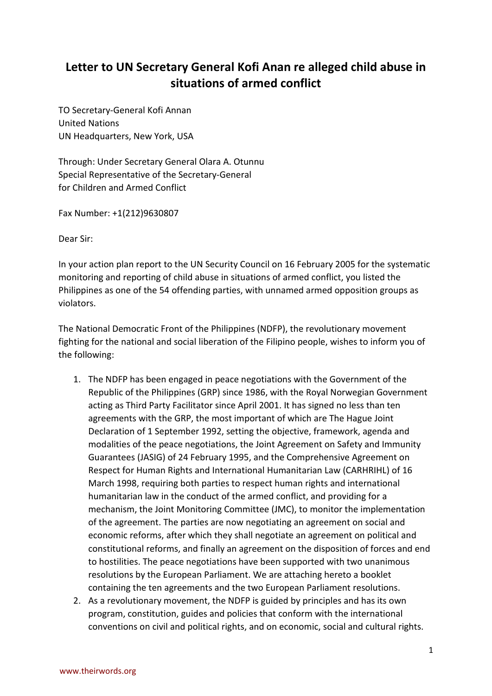## **[Letter to UN Secretary General Kofi Anan re alleged child abuse in](http://www.ndfp.net/joom15/index.php/media-releases-mainmenu-53/messages-mainmenu-72/558-letter-to-un-secretary-general-kofi-anan-re-alleged-child-abuse-in-situations-of-armed-conflict.html)  [situations of armed conflict](http://www.ndfp.net/joom15/index.php/media-releases-mainmenu-53/messages-mainmenu-72/558-letter-to-un-secretary-general-kofi-anan-re-alleged-child-abuse-in-situations-of-armed-conflict.html)**

TO Secretary-General Kofi Annan United Nations UN Headquarters, New York, USA

Through: Under Secretary General Olara A. Otunnu Special Representative of the Secretary-General for Children and Armed Conflict

Fax Number: +1(212)9630807

Dear Sir:

In your action plan report to the UN Security Council on 16 February 2005 for the systematic monitoring and reporting of child abuse in situations of armed conflict, you listed the Philippines as one of the 54 offending parties, with unnamed armed opposition groups as violators.

The National Democratic Front of the Philippines (NDFP), the revolutionary movement fighting for the national and social liberation of the Filipino people, wishes to inform you of the following:

- 1. The NDFP has been engaged in peace negotiations with the Government of the Republic of the Philippines (GRP) since 1986, with the Royal Norwegian Government acting as Third Party Facilitator since April 2001. It has signed no less than ten agreements with the GRP, the most important of which are The Hague Joint Declaration of 1 September 1992, setting the objective, framework, agenda and modalities of the peace negotiations, the Joint Agreement on Safety and Immunity Guarantees (JASIG) of 24 February 1995, and the Comprehensive Agreement on Respect for Human Rights and International Humanitarian Law (CARHRIHL) of 16 March 1998, requiring both parties to respect human rights and international humanitarian law in the conduct of the armed conflict, and providing for a mechanism, the Joint Monitoring Committee (JMC), to monitor the implementation of the agreement. The parties are now negotiating an agreement on social and economic reforms, after which they shall negotiate an agreement on political and constitutional reforms, and finally an agreement on the disposition of forces and end to hostilities. The peace negotiations have been supported with two unanimous resolutions by the European Parliament. We are attaching hereto a booklet containing the ten agreements and the two European Parliament resolutions.
- 2. As a revolutionary movement, the NDFP is guided by principles and has its own program, constitution, guides and policies that conform with the international conventions on civil and political rights, and on economic, social and cultural rights.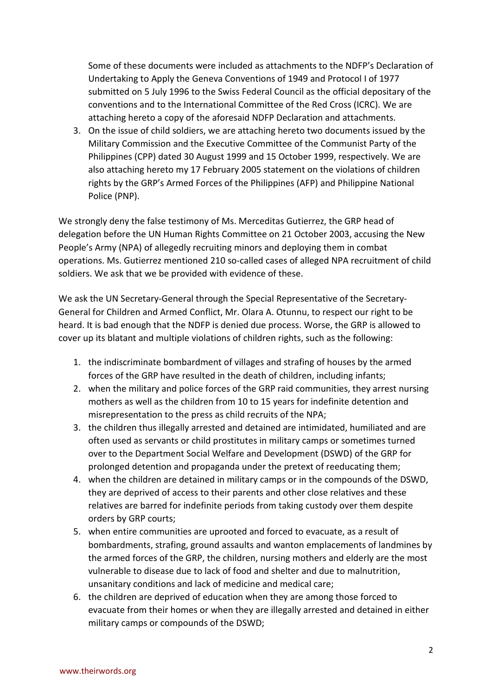Some of these documents were included as attachments to the NDFP's Declaration of Undertaking to Apply the Geneva Conventions of 1949 and Protocol I of 1977 submitted on 5 July 1996 to the Swiss Federal Council as the official depositary of the conventions and to the International Committee of the Red Cross (ICRC). We are attaching hereto a copy of the aforesaid NDFP Declaration and attachments.

3. On the issue of child soldiers, we are attaching hereto two documents issued by the Military Commission and the Executive Committee of the Communist Party of the Philippines (CPP) dated 30 August 1999 and 15 October 1999, respectively. We are also attaching hereto my 17 February 2005 statement on the violations of children rights by the GRP's Armed Forces of the Philippines (AFP) and Philippine National Police (PNP).

We strongly deny the false testimony of Ms. Merceditas Gutierrez, the GRP head of delegation before the UN Human Rights Committee on 21 October 2003, accusing the New People's Army (NPA) of allegedly recruiting minors and deploying them in combat operations. Ms. Gutierrez mentioned 210 so-called cases of alleged NPA recruitment of child soldiers. We ask that we be provided with evidence of these.

We ask the UN Secretary-General through the Special Representative of the Secretary-General for Children and Armed Conflict, Mr. Olara A. Otunnu, to respect our right to be heard. It is bad enough that the NDFP is denied due process. Worse, the GRP is allowed to cover up its blatant and multiple violations of children rights, such as the following:

- 1. the indiscriminate bombardment of villages and strafing of houses by the armed forces of the GRP have resulted in the death of children, including infants;
- 2. when the military and police forces of the GRP raid communities, they arrest nursing mothers as well as the children from 10 to 15 years for indefinite detention and misrepresentation to the press as child recruits of the NPA;
- 3. the children thus illegally arrested and detained are intimidated, humiliated and are often used as servants or child prostitutes in military camps or sometimes turned over to the Department Social Welfare and Development (DSWD) of the GRP for prolonged detention and propaganda under the pretext of reeducating them;
- 4. when the children are detained in military camps or in the compounds of the DSWD, they are deprived of access to their parents and other close relatives and these relatives are barred for indefinite periods from taking custody over them despite orders by GRP courts;
- 5. when entire communities are uprooted and forced to evacuate, as a result of bombardments, strafing, ground assaults and wanton emplacements of landmines by the armed forces of the GRP, the children, nursing mothers and elderly are the most vulnerable to disease due to lack of food and shelter and due to malnutrition, unsanitary conditions and lack of medicine and medical care;
- 6. the children are deprived of education when they are among those forced to evacuate from their homes or when they are illegally arrested and detained in either military camps or compounds of the DSWD;